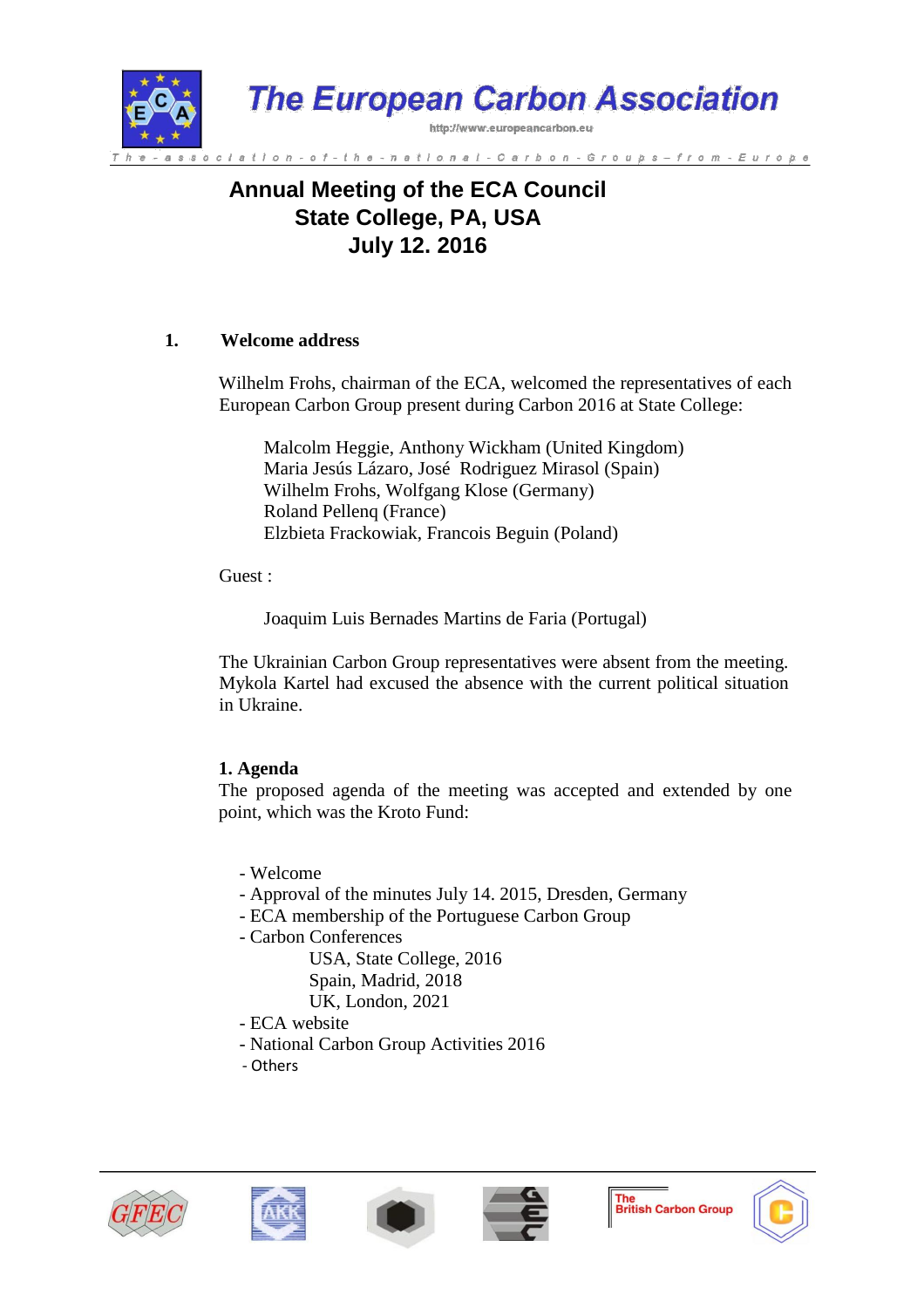

# **Annual Meeting of the ECA Council State College, PA, USA July 12. 2016**

## **1. Welcome address**

Wilhelm Frohs, chairman of the ECA, welcomed the representatives of each European Carbon Group present during Carbon 2016 at State College:

Malcolm Heggie, Anthony Wickham (United Kingdom) Maria Jesús Lázaro, José Rodriguez Mirasol (Spain) Wilhelm Frohs, Wolfgang Klose (Germany) Roland Pellenq (France) Elzbieta Frackowiak, Francois Beguin (Poland)

Guest :

Joaquim Luis Bernades Martins de Faria (Portugal)

The Ukrainian Carbon Group representatives were absent from the meeting. Mykola Kartel had excused the absence with the current political situation in Ukraine.

# **1. Agenda**

The proposed agenda of the meeting was accepted and extended by one point, which was the Kroto Fund:

- Welcome
- Approval of the minutes July 14. 2015, Dresden, Germany
- ECA membership of the Portuguese Carbon Group
- Carbon Conferences

 USA, State College, 2016 Spain, Madrid, 2018 UK, London, 2021

- ECA website
- National Carbon Group Activities 2016
- Others









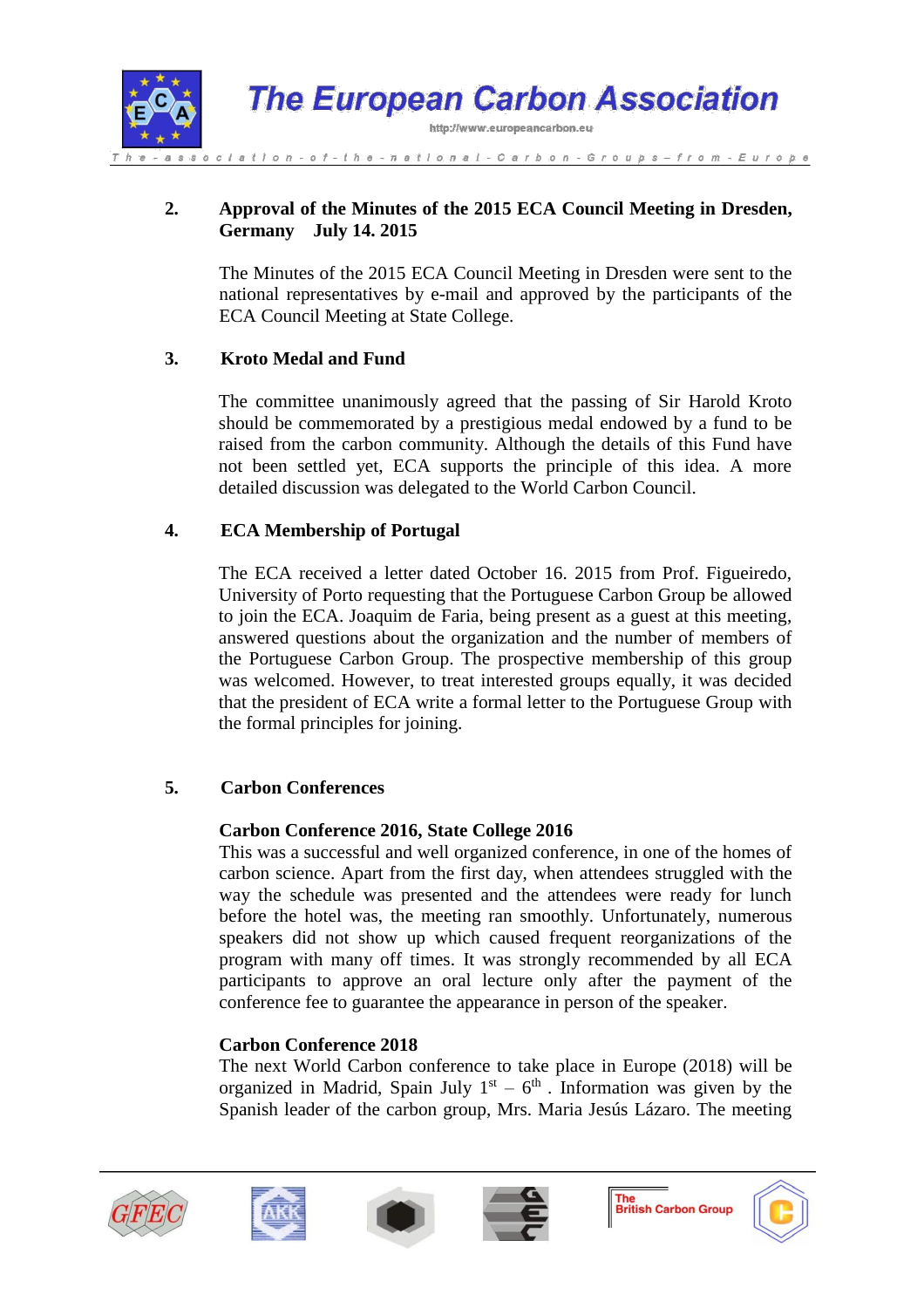

## **2. Approval of the Minutes of the 2015 ECA Council Meeting in Dresden, Germany July 14. 2015**

The Minutes of the 2015 ECA Council Meeting in Dresden were sent to the national representatives by e-mail and approved by the participants of the ECA Council Meeting at State College.

# **3. Kroto Medal and Fund**

The committee unanimously agreed that the passing of Sir Harold Kroto should be commemorated by a prestigious medal endowed by a fund to be raised from the carbon community. Although the details of this Fund have not been settled yet, ECA supports the principle of this idea. A more detailed discussion was delegated to the World Carbon Council.

# **4. ECA Membership of Portugal**

The ECA received a letter dated October 16. 2015 from Prof. Figueiredo, University of Porto requesting that the Portuguese Carbon Group be allowed to join the ECA. Joaquim de Faria, being present as a guest at this meeting, answered questions about the organization and the number of members of the Portuguese Carbon Group. The prospective membership of this group was welcomed. However, to treat interested groups equally, it was decided that the president of ECA write a formal letter to the Portuguese Group with the formal principles for joining.

# **5. Carbon Conferences**

#### **Carbon Conference 2016, State College 2016**

This was a successful and well organized conference, in one of the homes of carbon science. Apart from the first day, when attendees struggled with the way the schedule was presented and the attendees were ready for lunch before the hotel was, the meeting ran smoothly. Unfortunately, numerous speakers did not show up which caused frequent reorganizations of the program with many off times. It was strongly recommended by all ECA participants to approve an oral lecture only after the payment of the conference fee to guarantee the appearance in person of the speaker.

# **Carbon Conference 2018**

The next World Carbon conference to take place in Europe (2018) will be organized in Madrid, Spain July  $1<sup>st</sup> - 6<sup>th</sup>$ . Information was given by the Spanish leader of the carbon group, Mrs. Maria Jesús Lázaro. The meeting









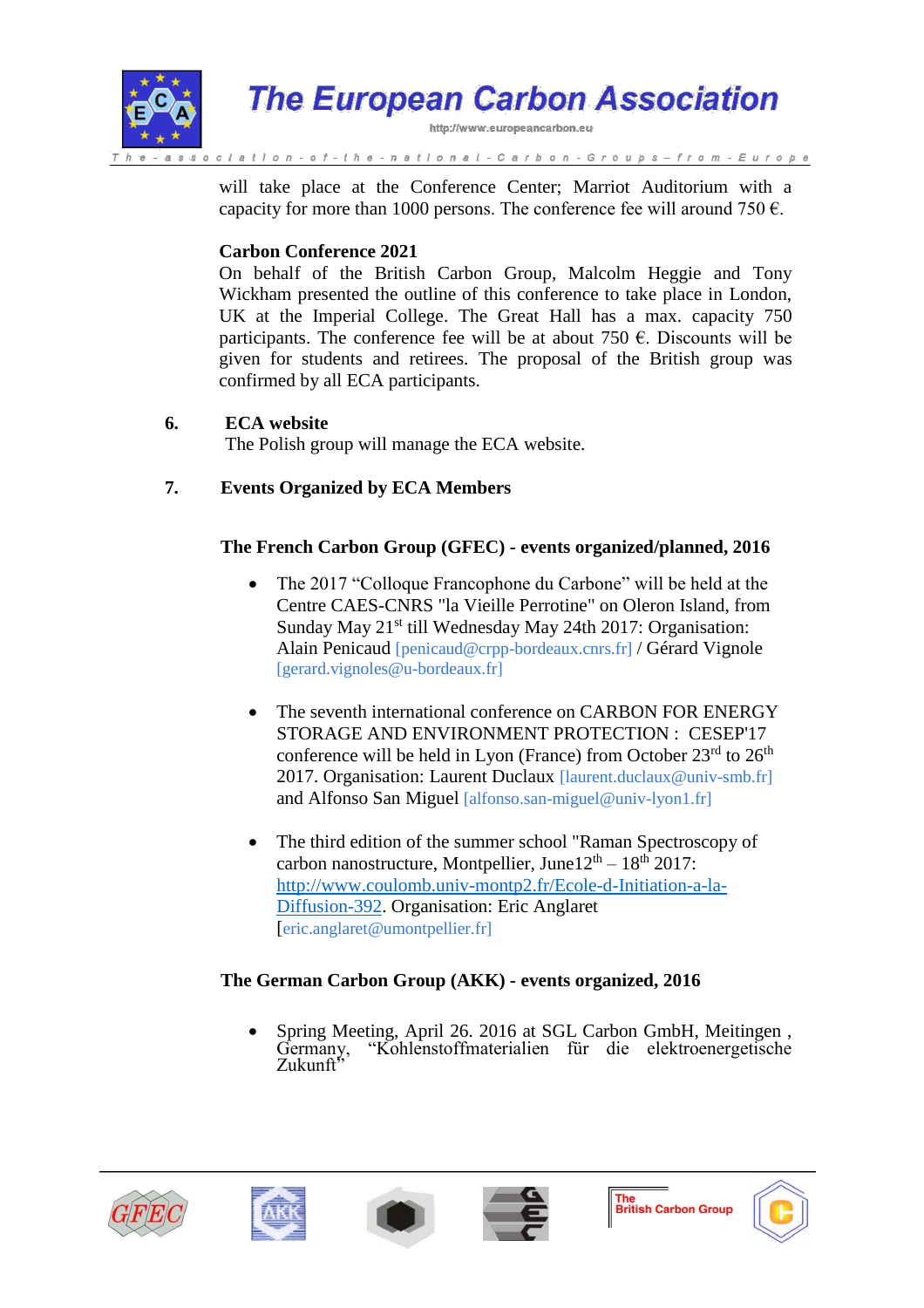

will take place at the Conference Center; Marriot Auditorium with a capacity for more than 1000 persons. The conference fee will around 750  $\epsilon$ .

## **Carbon Conference 2021**

On behalf of the British Carbon Group, Malcolm Heggie and Tony Wickham presented the outline of this conference to take place in London, UK at the Imperial College. The Great Hall has a max. capacity 750 participants. The conference fee will be at about 750  $\epsilon$ . Discounts will be given for students and retirees. The proposal of the British group was confirmed by all ECA participants.

## **6. ECA website**

The Polish group will manage the ECA website.

# **7. Events Organized by ECA Members**

# **The French Carbon Group (GFEC) - events organized/planned, 2016**

- The 2017 "Colloque Francophone du Carbone" will be held at the Centre CAES-CNRS "la Vieille Perrotine" on Oleron Island, from Sunday May 21<sup>st</sup> till Wednesday May 24th 2017: Organisation: Alain Penicaud [penicaud@crpp-bordeaux.cnrs.fr] / Gérard Vignole [gerard.vignoles@u-bordeaux.fr]
- The seventh international conference on CARBON FOR ENERGY STORAGE AND ENVIRONMENT PROTECTION : CESEP'17 conference will be held in Lyon (France) from October  $23<sup>rd</sup>$  to  $26<sup>th</sup>$ 2017. Organisation: Laurent Duclaux *[laurent.duclaux @univ-smb.fr]* and Alfonso San Miguel [alfonso.san-miguel@univ-lyon1.fr]
- The third edition of the summer school "Raman Spectroscopy of carbon nanostructure, Montpellier, June $12<sup>th</sup> - 18<sup>th</sup> 2017$ : [http://www.coulomb.univ-montp2.fr/Ecole-d-Initiation-a-la-](https://owa.exchange.mit.edu/owa/redir.aspx?SURL=8UbGhWBoaDl0z-SSdQKTTe6z78PQRbxzYZgY8_jgweI4o9OApwnUCGgAdAB0AHAAOgAvAC8AdwB3AHcALgBjAG8AdQBsAG8AbQBiAC4AdQBuAGkAdgAtAG0AbwBuAHQAcAAyAC4AZgByAC8ARQBjAG8AbABlAC0AZAAtAEkAbgBpAHQAaQBhAHQAaQBvAG4ALQBhAC0AbABhAC0ARABpAGYAZgB1AHMAaQBvAG4ALQAzADkAMgA.&URL=http%3a%2f%2fwww.coulomb.univ-montp2.fr%2fEcole-d-Initiation-a-la-Diffusion-392)[Diffusion-392.](https://owa.exchange.mit.edu/owa/redir.aspx?SURL=8UbGhWBoaDl0z-SSdQKTTe6z78PQRbxzYZgY8_jgweI4o9OApwnUCGgAdAB0AHAAOgAvAC8AdwB3AHcALgBjAG8AdQBsAG8AbQBiAC4AdQBuAGkAdgAtAG0AbwBuAHQAcAAyAC4AZgByAC8ARQBjAG8AbABlAC0AZAAtAEkAbgBpAHQAaQBhAHQAaQBvAG4ALQBhAC0AbABhAC0ARABpAGYAZgB1AHMAaQBvAG4ALQAzADkAMgA.&URL=http%3a%2f%2fwww.coulomb.univ-montp2.fr%2fEcole-d-Initiation-a-la-Diffusion-392) Organisation: Eric Anglaret [eric.anglaret@umontpellier.fr]

# **The German Carbon Group (AKK) - events organized, 2016**

Spring Meeting, April 26. 2016 at SGL Carbon GmbH, Meitingen, Germany, "Kohlenstoffmaterialien für die elektroenergetische "Kohlenstoffmaterialien für die elektroenergetische Zukunft<sup>5</sup>